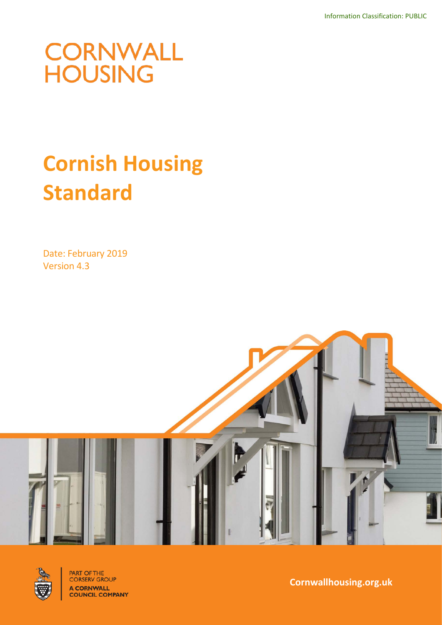# **CORNWALL**<br>HOUSING

# **Cornish Housing Standard**

Date: February 2019 Version 4.3





**PART OF THE<br>CORSERV GROUP** A CORNWALL<br>COUNCIL COMPANY

**Cornwallhousing.org.uk**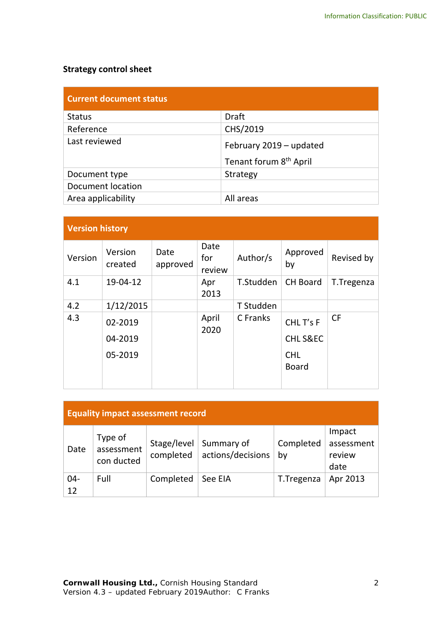# **Strategy control sheet**

| <b>Current document status</b> |                                    |  |  |  |  |
|--------------------------------|------------------------------------|--|--|--|--|
| <b>Status</b>                  | <b>Draft</b>                       |  |  |  |  |
| Reference                      | CHS/2019                           |  |  |  |  |
| Last reviewed                  | February 2019 - updated            |  |  |  |  |
|                                | Tenant forum 8 <sup>th</sup> April |  |  |  |  |
| Document type                  | Strategy                           |  |  |  |  |
| <b>Document location</b>       |                                    |  |  |  |  |
| Area applicability             | All areas                          |  |  |  |  |

# **Version history**

| <b>VEISIVIII IIISLUI Y</b> |                    |                  |                       |           |                                 |            |
|----------------------------|--------------------|------------------|-----------------------|-----------|---------------------------------|------------|
| Version                    | Version<br>created | Date<br>approved | Date<br>for<br>review | Author/s  | Approved<br>by                  | Revised by |
| 4.1                        | 19-04-12           |                  | Apr<br>2013           | T.Studden | <b>CH Board</b>                 | T.Tregenza |
| 4.2                        | 1/12/2015          |                  |                       | T Studden |                                 |            |
| 4.3                        | 02-2019<br>04-2019 |                  | April<br>2020         | C Franks  | CHL T's F<br><b>CHLS&amp;EC</b> | <b>CF</b>  |
|                            | 05-2019            |                  |                       |           | <b>CHL</b><br><b>Board</b>      |            |

| <b>Equality impact assessment record</b> |                                     |                          |                                 |                 |                                        |
|------------------------------------------|-------------------------------------|--------------------------|---------------------------------|-----------------|----------------------------------------|
| Date                                     | Type of<br>assessment<br>con ducted | Stage/level<br>completed | Summary of<br>actions/decisions | Completed<br>by | Impact<br>assessment<br>review<br>date |
| $04 -$<br>12                             | Full                                | Completed                | See EIA                         | T.Tregenza      | Apr 2013                               |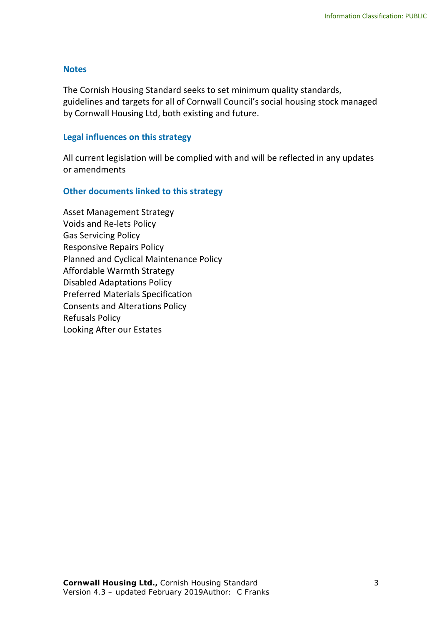#### **Notes**

The Cornish Housing Standard seeks to set minimum quality standards, guidelines and targets for all of Cornwall Council's social housing stock managed by Cornwall Housing Ltd, both existing and future.

#### **Legal influences on this strategy**

All current legislation will be complied with and will be reflected in any updates or amendments

#### **Other documents linked to this strategy**

Asset Management Strategy Voids and Re-lets Policy Gas Servicing Policy Responsive Repairs Policy Planned and Cyclical Maintenance Policy Affordable Warmth Strategy Disabled Adaptations Policy Preferred Materials Specification Consents and Alterations Policy Refusals Policy Looking After our Estates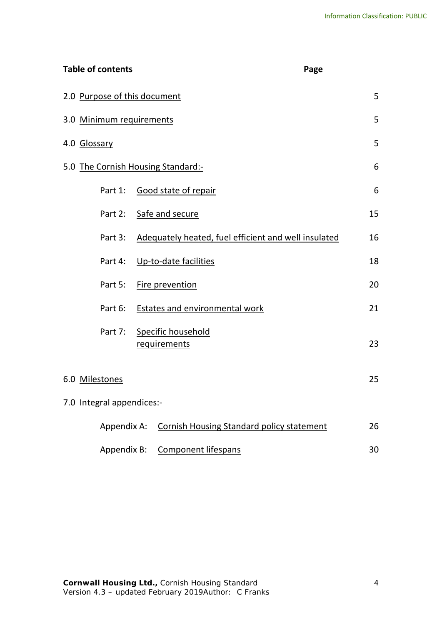| <b>Table of contents</b>           | Page                                                 |    |
|------------------------------------|------------------------------------------------------|----|
| 2.0 Purpose of this document       |                                                      | 5  |
| 3.0 Minimum requirements           |                                                      | 5  |
| 4.0 Glossary                       |                                                      | 5  |
| 5.0 The Cornish Housing Standard:- |                                                      | 6  |
|                                    | Part 1: Good state of repair                         | 6  |
| Part 2:                            | Safe and secure                                      | 15 |
| Part 3:                            | Adequately heated, fuel efficient and well insulated | 16 |
|                                    | Part 4: Up-to-date facilities                        | 18 |
| Part 5:                            | Fire prevention                                      | 20 |
| Part 6:                            | Estates and environmental work                       | 21 |
| Part 7:                            | Specific household<br>requirements                   | 23 |
| 6.0 Milestones                     |                                                      | 25 |
| 7.0 Integral appendices:-          |                                                      |    |
| Appendix A:                        | <b>Cornish Housing Standard policy statement</b>     | 26 |
| Appendix B:                        | <b>Component lifespans</b>                           | 30 |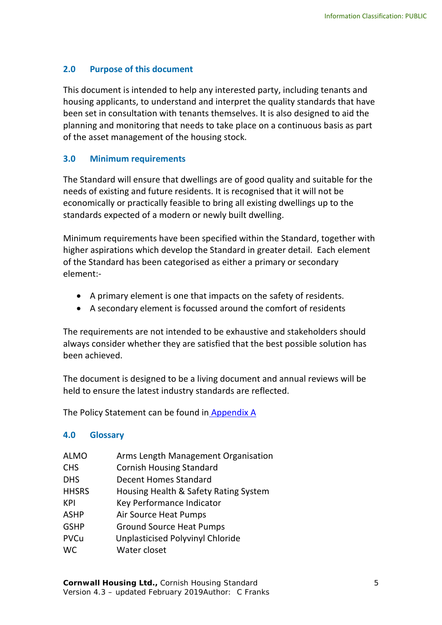# <span id="page-4-0"></span>**2.0 Purpose of this document**

This document is intended to help any interested party, including tenants and housing applicants, to understand and interpret the quality standards that have been set in consultation with tenants themselves. It is also designed to aid the planning and monitoring that needs to take place on a continuous basis as part of the asset management of the housing stock.

# <span id="page-4-1"></span>**3.0 Minimum requirements**

The Standard will ensure that dwellings are of good quality and suitable for the needs of existing and future residents. It is recognised that it will not be economically or practically feasible to bring all existing dwellings up to the standards expected of a modern or newly built dwelling.

Minimum requirements have been specified within the Standard, together with higher aspirations which develop the Standard in greater detail. Each element of the Standard has been categorised as either a primary or secondary element:-

- A primary element is one that impacts on the safety of residents.
- A secondary element is focussed around the comfort of residents

The requirements are not intended to be exhaustive and stakeholders should always consider whether they are satisfied that the best possible solution has been achieved.

The document is designed to be a living document and annual reviews will be held to ensure the latest industry standards are reflected.

The Policy Statement can be found in [Appendix A](#page-19-0)

#### <span id="page-4-2"></span>**4.0 Glossary**

| <b>ALMO</b>  | Arms Length Management Organisation     |
|--------------|-----------------------------------------|
| <b>CHS</b>   | <b>Cornish Housing Standard</b>         |
| <b>DHS</b>   | <b>Decent Homes Standard</b>            |
| <b>HHSRS</b> | Housing Health & Safety Rating System   |
| KPI          | Key Performance Indicator               |
| <b>ASHP</b>  | Air Source Heat Pumps                   |
| <b>GSHP</b>  | <b>Ground Source Heat Pumps</b>         |
| PVCu         | <b>Unplasticised Polyvinyl Chloride</b> |
| <b>WC</b>    | Water closet                            |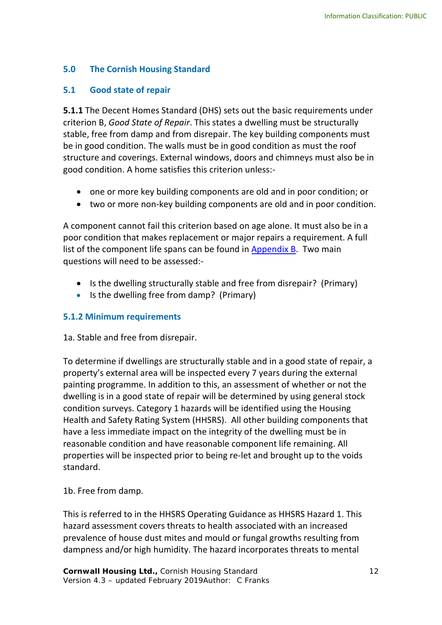# <span id="page-5-0"></span>**5.0 The Cornish Housing Standard**

# <span id="page-5-1"></span>**5.1 Good state of repair**

**5.1.1** The Decent Homes Standard (DHS) sets out the basic requirements under criterion B, *Good State of Repair*. This states a dwelling must be structurally stable, free from damp and from disrepair. The key building components must be in good condition. The walls must be in good condition as must the roof structure and coverings. External windows, doors and chimneys must also be in good condition. A home satisfies this criterion unless:-

- one or more key building components are old and in poor condition; or
- two or more non-key building components are old and in poor condition.

A component cannot fail this criterion based on age alone. It must also be in a poor condition that makes replacement or major repairs a requirement. A full list of the component life spans can be found in [Appendix B.](#page-23-0) Two main questions will need to be assessed:-

- Is the dwelling structurally stable and free from disrepair? (Primary)
- Is the dwelling free from damp? (Primary)

#### **5.1.2 Minimum requirements**

#### 1a. Stable and free from disrepair.

To determine if dwellings are structurally stable and in a good state of repair, a property's external area will be inspected every 7 years during the external painting programme. In addition to this, an assessment of whether or not the dwelling is in a good state of repair will be determined by using general stock condition surveys. Category 1 hazards will be identified using the Housing Health and Safety Rating System (HHSRS). All other building components that have a less immediate impact on the integrity of the dwelling must be in reasonable condition and have reasonable component life remaining. All properties will be inspected prior to being re-let and brought up to the voids standard.

1b. Free from damp.

This is referred to in the HHSRS Operating Guidance as HHSRS Hazard 1. This hazard assessment covers threats to health associated with an increased prevalence of house dust mites and mould or fungal growths resulting from dampness and/or high humidity. The hazard incorporates threats to mental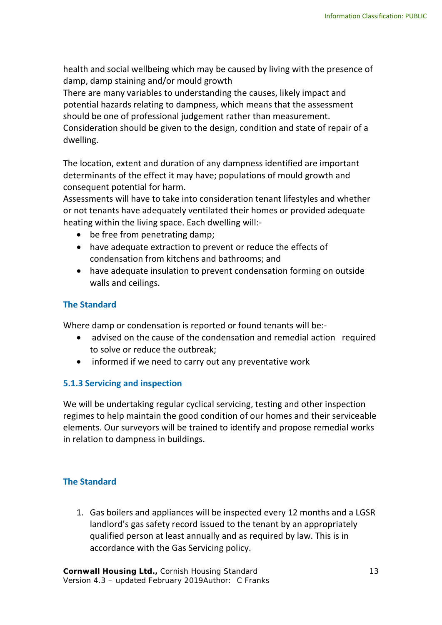health and social wellbeing which may be caused by living with the presence of damp, damp staining and/or mould growth

There are many variables to understanding the causes, likely impact and potential hazards relating to dampness, which means that the assessment should be one of professional judgement rather than measurement. Consideration should be given to the design, condition and state of repair of a dwelling.

The location, extent and duration of any dampness identified are important determinants of the effect it may have; populations of mould growth and consequent potential for harm.

Assessments will have to take into consideration tenant lifestyles and whether or not tenants have adequately ventilated their homes or provided adequate heating within the living space. Each dwelling will:-

- be free from penetrating damp;
- have adequate extraction to prevent or reduce the effects of condensation from kitchens and bathrooms; and
- have adequate insulation to prevent condensation forming on outside walls and ceilings.

# **The Standard**

Where damp or condensation is reported or found tenants will be:-

- advised on the cause of the condensation and remedial action required to solve or reduce the outbreak;
- informed if we need to carry out any preventative work

#### **5.1.3 Servicing and inspection**

We will be undertaking regular cyclical servicing, testing and other inspection regimes to help maintain the good condition of our homes and their serviceable elements. Our surveyors will be trained to identify and propose remedial works in relation to dampness in buildings.

# **The Standard**

1. Gas boilers and appliances will be inspected every 12 months and a LGSR landlord's gas safety record issued to the tenant by an appropriately qualified person at least annually and as required by law. This is in accordance with the Gas Servicing policy.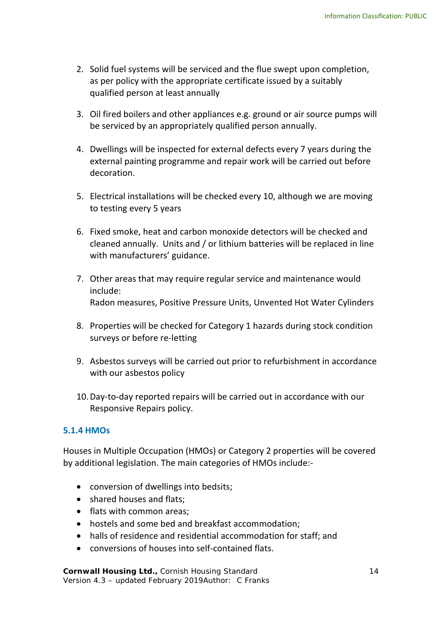- 2. Solid fuel systems will be serviced and the flue swept upon completion, as per policy with the appropriate certificate issued by a suitably qualified person at least annually
- 3. Oil fired boilers and other appliances e.g. ground or air source pumps will be serviced by an appropriately qualified person annually.
- 4. Dwellings will be inspected for external defects every 7 years during the external painting programme and repair work will be carried out before decoration.
- 5. Electrical installations will be checked every 10, although we are moving to testing every 5 years
- 6. Fixed smoke, heat and carbon monoxide detectors will be checked and cleaned annually. Units and / or lithium batteries will be replaced in line with manufacturers' guidance.
- 7. Other areas that may require regular service and maintenance would include: Radon measures, Positive Pressure Units, Unvented Hot Water Cylinders
- 8. Properties will be checked for Category 1 hazards during stock condition surveys or before re-letting
- 9. Asbestos surveys will be carried out prior to refurbishment in accordance with our asbestos policy
- 10.Day-to-day reported repairs will be carried out in accordance with our Responsive Repairs policy.

# **5.1.4 HMOs**

Houses in Multiple Occupation (HMOs) or Category 2 properties will be covered by additional legislation. The main categories of HMOs include:-

- conversion of dwellings into bedsits;
- shared houses and flats;
- flats with common areas;
- hostels and some bed and breakfast accommodation;
- halls of residence and residential accommodation for staff; and
- conversions of houses into self-contained flats.

**Cornwall Housing Ltd., Cornish Housing Standard 14 (2008)** 14 Version 4.3 – updated February 2019Author: C Franks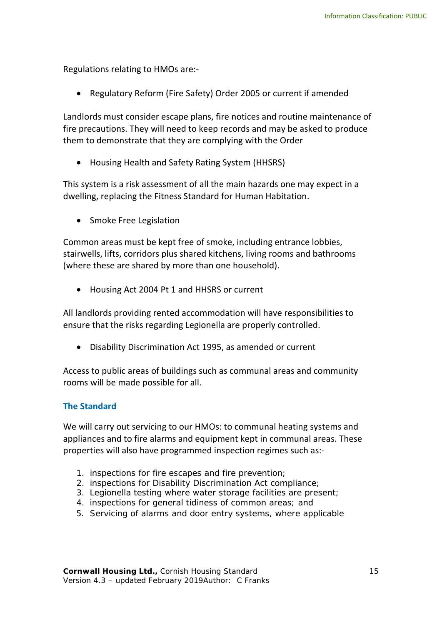Regulations relating to HMOs are:-

• Regulatory Reform (Fire Safety) Order 2005 or current if amended

Landlords must consider escape plans, fire notices and routine maintenance of fire precautions. They will need to keep records and may be asked to produce them to demonstrate that they are complying with the Order

• Housing Health and Safety Rating System (HHSRS)

This system is a risk assessment of all the main hazards one may expect in a dwelling, replacing the Fitness Standard for Human Habitation.

• Smoke Free Legislation

Common areas must be kept free of smoke, including entrance lobbies, stairwells, lifts, corridors plus shared kitchens, living rooms and bathrooms (where these are shared by more than one household).

• Housing Act 2004 Pt 1 and HHSRS or current

All landlords providing rented accommodation will have responsibilities to ensure that the risks regarding Legionella are properly controlled.

• Disability Discrimination Act 1995, as amended or current

Access to public areas of buildings such as communal areas and community rooms will be made possible for all.

#### **The Standard**

We will carry out servicing to our HMOs: to communal heating systems and appliances and to fire alarms and equipment kept in communal areas. These properties will also have programmed inspection regimes such as:-

- 1. inspections for fire escapes and fire prevention;
- 2. inspections for Disability Discrimination Act compliance;
- 3. Legionella testing where water storage facilities are present;
- 4. inspections for general tidiness of common areas; and
- <span id="page-8-0"></span>5. Servicing of alarms and door entry systems, where applicable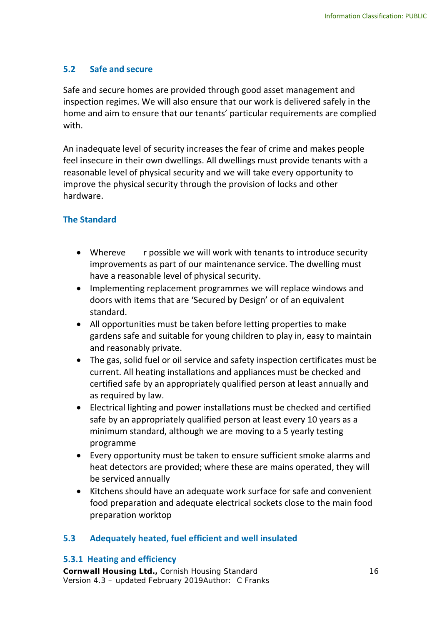# **5.2 Safe and secure**

Safe and secure homes are provided through good asset management and inspection regimes. We will also ensure that our work is delivered safely in the home and aim to ensure that our tenants' particular requirements are complied with.

An inadequate level of security increases the fear of crime and makes people feel insecure in their own dwellings. All dwellings must provide tenants with a reasonable level of physical security and we will take every opportunity to improve the physical security through the provision of locks and other hardware.

# **The Standard**

- Whereve r possible we will work with tenants to introduce security improvements as part of our maintenance service. The dwelling must have a reasonable level of physical security.
- Implementing replacement programmes we will replace windows and doors with items that are 'Secured by Design' or of an equivalent standard.
- All opportunities must be taken before letting properties to make gardens safe and suitable for young children to play in, easy to maintain and reasonably private.
- The gas, solid fuel or oil service and safety inspection certificates must be current. All heating installations and appliances must be checked and certified safe by an appropriately qualified person at least annually and as required by law.
- Electrical lighting and power installations must be checked and certified safe by an appropriately qualified person at least every 10 years as a minimum standard, although we are moving to a 5 yearly testing programme
- Every opportunity must be taken to ensure sufficient smoke alarms and heat detectors are provided; where these are mains operated, they will be serviced annually
- Kitchens should have an adequate work surface for safe and convenient food preparation and adequate electrical sockets close to the main food preparation worktop

# **5.3 Adequately heated, fuel efficient and well insulated**

#### **5.3.1 Heating and efficiency**

**Cornwall Housing Ltd.,** Cornish Housing Standard 16 Version 4.3 – updated February 2019Author: C Franks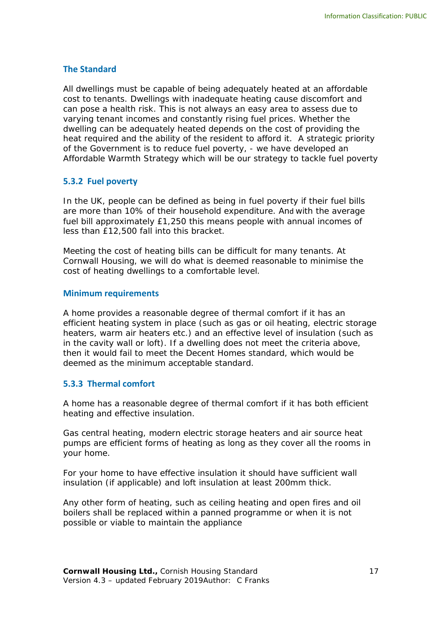#### **The Standard**

All dwellings must be capable of being adequately heated at an affordable cost to tenants. Dwellings with inadequate heating cause discomfort and can pose a health risk. This is not always an easy area to assess due to varying tenant incomes and constantly rising fuel prices. Whether the dwelling can be adequately heated depends on the cost of providing the heat required and the ability of the resident to afford it. A strategic priority of the Government is to reduce fuel poverty, - we have developed an Affordable Warmth Strategy which will be our strategy to tackle fuel poverty

#### **5.3.2 Fuel poverty**

In the UK, people can be defined as being in fuel poverty if their fuel bills are more than 10% of their household expenditure. And with the average fuel bill approximately £1,250 this means people with annual incomes of less than £12,500 fall into this bracket.

Meeting the cost of heating bills can be difficult for many tenants. At Cornwall Housing, we will do what is deemed reasonable to minimise the cost of heating dwellings to a comfortable level.

#### **Minimum requirements**

A home provides a reasonable degree of thermal comfort if it has an efficient heating system in place (such as gas or oil heating, electric storage heaters, warm air heaters etc.) and an effective level of insulation (such as in the cavity wall or loft). If a dwelling does not meet the criteria above, then it would fail to meet the Decent Homes standard, which would be deemed as the minimum acceptable standard.

#### **5.3.3 Thermal comfort**

A home has a reasonable degree of thermal comfort if it has both efficient heating and effective insulation.

Gas central heating, modern electric storage heaters and air source heat pumps are efficient forms of heating as long as they cover all the rooms in your home.

For your home to have effective insulation it should have sufficient wall insulation (if applicable) and loft insulation at least 200mm thick.

Any other form of heating, such as ceiling heating and open fires and oil boilers shall be replaced within a panned programme or when it is not possible or viable to maintain the appliance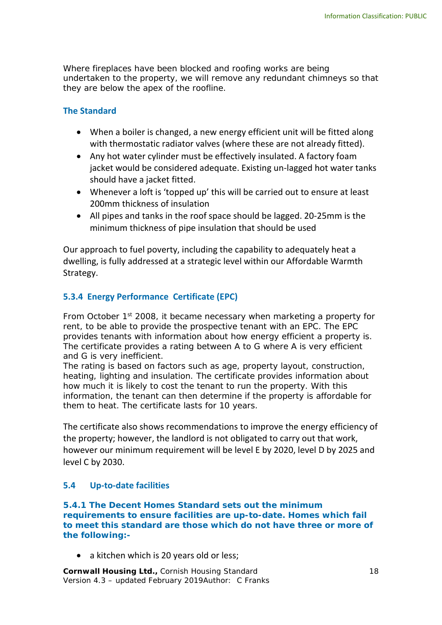Where fireplaces have been blocked and roofing works are being undertaken to the property, we will remove any redundant chimneys so that they are below the apex of the roofline.

#### **The Standard**

- When a boiler is changed, a new energy efficient unit will be fitted along with thermostatic radiator valves (where these are not already fitted).
- Any hot water cylinder must be effectively insulated. A factory foam jacket would be considered adequate. Existing un-lagged hot water tanks should have a jacket fitted.
- Whenever a loft is 'topped up' this will be carried out to ensure at least 200mm thickness of insulation
- All pipes and tanks in the roof space should be lagged. 20-25mm is the minimum thickness of pipe insulation that should be used

Our approach to fuel poverty, including the capability to adequately heat a dwelling, is fully addressed at a strategic level within our Affordable Warmth Strategy.

#### **5.3.4 Energy Performance Certificate (EPC)**

From October 1<sup>st</sup> 2008, it became necessary when marketing a property for rent, to be able to provide the prospective tenant with an EPC. The EPC provides tenants with information about how energy efficient a property is. The certificate provides a rating between A to G where A is very efficient and G is very inefficient.

The rating is based on factors such as age, property layout, construction, heating, lighting and insulation. The certificate provides information about how much it is likely to cost the tenant to run the property. With this information, the tenant can then determine if the property is affordable for them to heat. The certificate lasts for 10 years.

The certificate also shows recommendations to improve the energy efficiency of the property; however, the landlord is not obligated to carry out that work, however our minimum requirement will be level E by 2020, level D by 2025 and level C by 2030.

#### **5.4 Up-to-date facilities**

**5.4.1 The Decent Homes Standard sets out the minimum requirements to ensure facilities are up-to-date. Homes which fail to meet this standard are those which do not have three or more of the following:-**

• a kitchen which is 20 years old or less;

**Cornwall Housing Ltd., Cornish Housing Standard 18 (2008)** 18 Version 4.3 – updated February 2019Author: C Franks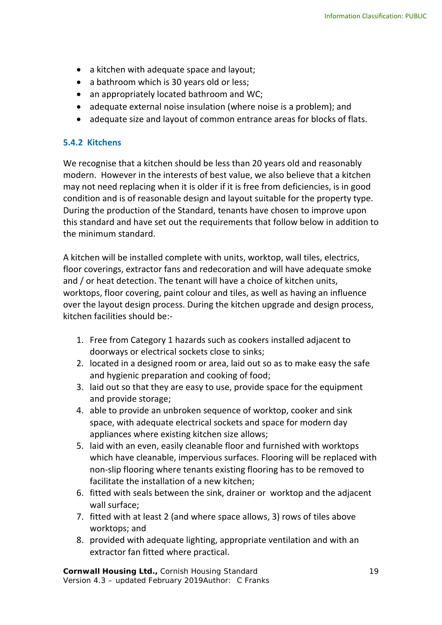- a kitchen with adequate space and layout;
- a bathroom which is 30 years old or less;
- an appropriately located bathroom and WC;
- adequate external noise insulation (where noise is a problem); and
- adequate size and layout of common entrance areas for blocks of flats.

# **5.4.2 Kitchens**

We recognise that a kitchen should be less than 20 years old and reasonably modern. However in the interests of best value, we also believe that a kitchen may not need replacing when it is older if it is free from deficiencies, is in good condition and is of reasonable design and layout suitable for the property type. During the production of the Standard, tenants have chosen to improve upon this standard and have set out the requirements that follow below in addition to the minimum standard.

A kitchen will be installed complete with units, worktop, wall tiles, electrics, floor coverings, extractor fans and redecoration and will have adequate smoke and / or heat detection. The tenant will have a choice of kitchen units, worktops, floor covering, paint colour and tiles, as well as having an influence over the layout design process. During the kitchen upgrade and design process, kitchen facilities should be:-

- 1. Free from Category 1 hazards such as cookers installed adjacent to doorways or electrical sockets close to sinks;
- 2. located in a designed room or area, laid out so as to make easy the safe and hygienic preparation and cooking of food;
- 3. laid out so that they are easy to use, provide space for the equipment and provide storage;
- 4. able to provide an unbroken sequence of worktop, cooker and sink space, with adequate electrical sockets and space for modern day appliances where existing kitchen size allows;
- 5. laid with an even, easily cleanable floor and furnished with worktops which have cleanable, impervious surfaces. Flooring will be replaced with non-slip flooring where tenants existing flooring has to be removed to facilitate the installation of a new kitchen;
- 6. fitted with seals between the sink, drainer or worktop and the adjacent wall surface;
- 7. fitted with at least 2 (and where space allows, 3) rows of tiles above worktops; and
- 8. provided with adequate lighting, appropriate ventilation and with an extractor fan fitted where practical.

**Cornwall Housing Ltd., Cornish Housing Standard 19 19** Version 4.3 – updated February 2019Author: C Franks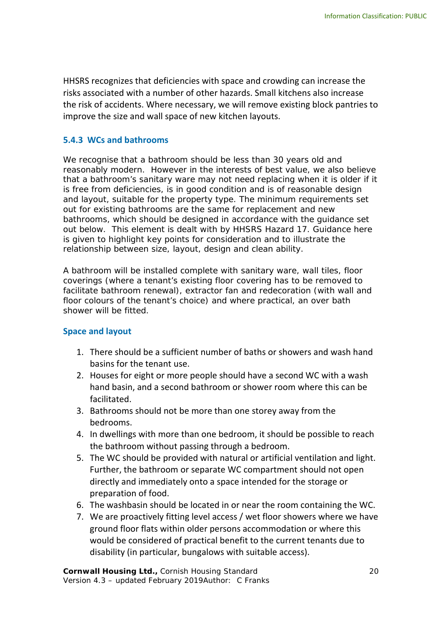HHSRS recognizes that deficiencies with space and crowding can increase the risks associated with a number of other hazards. Small kitchens also increase the risk of accidents. Where necessary, we will remove existing block pantries to improve the size and wall space of new kitchen layouts.

#### **5.4.3 WCs and bathrooms**

We recognise that a bathroom should be less than 30 years old and reasonably modern. However in the interests of best value, we also believe that a bathroom's sanitary ware may not need replacing when it is older if it is free from deficiencies, is in good condition and is of reasonable design and layout, suitable for the property type. The minimum requirements set out for existing bathrooms are the same for replacement and new bathrooms, which should be designed in accordance with the guidance set out below. This element is dealt with by HHSRS Hazard 17. Guidance here is given to highlight key points for consideration and to illustrate the relationship between size, layout, design and clean ability.

A bathroom will be installed complete with sanitary ware, wall tiles, floor coverings (where a tenant's existing floor covering has to be removed to facilitate bathroom renewal), extractor fan and redecoration (with wall and floor colours of the tenant's choice) and where practical, an over bath shower will be fitted.

#### **Space and layout**

- 1. There should be a sufficient number of baths or showers and wash hand basins for the tenant use.
- 2. Houses for eight or more people should have a second WC with a wash hand basin, and a second bathroom or shower room where this can be facilitated.
- 3. Bathrooms should not be more than one storey away from the bedrooms.
- 4. In dwellings with more than one bedroom, it should be possible to reach the bathroom without passing through a bedroom.
- 5. The WC should be provided with natural or artificial ventilation and light. Further, the bathroom or separate WC compartment should not open directly and immediately onto a space intended for the storage or preparation of food.
- 6. The washbasin should be located in or near the room containing the WC.
- 7. We are proactively fitting level access / wet floor showers where we have ground floor flats within older persons accommodation or where this would be considered of practical benefit to the current tenants due to disability (in particular, bungalows with suitable access).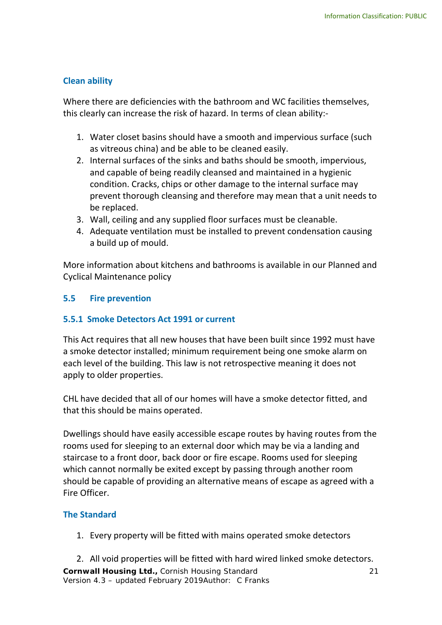# **Clean ability**

Where there are deficiencies with the bathroom and WC facilities themselves, this clearly can increase the risk of hazard. In terms of clean ability:-

- 1. Water closet basins should have a smooth and impervious surface (such as vitreous china) and be able to be cleaned easily.
- 2. Internal surfaces of the sinks and baths should be smooth, impervious, and capable of being readily cleansed and maintained in a hygienic condition. Cracks, chips or other damage to the internal surface may prevent thorough cleansing and therefore may mean that a unit needs to be replaced.
- 3. Wall, ceiling and any supplied floor surfaces must be cleanable.
- 4. Adequate ventilation must be installed to prevent condensation causing a build up of mould.

More information about kitchens and bathrooms is available in our Planned and Cyclical Maintenance policy

# <span id="page-14-0"></span>**5.5 Fire prevention**

#### **5.5.1 Smoke Detectors Act 1991 or current**

This Act requires that all new houses that have been built since 1992 must have a smoke detector installed; minimum requirement being one smoke alarm on each level of the building. This law is not retrospective meaning it does not apply to older properties.

CHL have decided that all of our homes will have a smoke detector fitted, and that this should be mains operated.

Dwellings should have easily accessible escape routes by having routes from the rooms used for sleeping to an external door which may be via a landing and staircase to a front door, back door or fire escape. Rooms used for sleeping which cannot normally be exited except by passing through another room should be capable of providing an alternative means of escape as agreed with a Fire Officer.

# **The Standard**

1. Every property will be fitted with mains operated smoke detectors

**Cornwall Housing Ltd.,** Cornish Housing Standard 21 Version 4.3 – updated February 2019Author: C Franks 2. All void properties will be fitted with hard wired linked smoke detectors.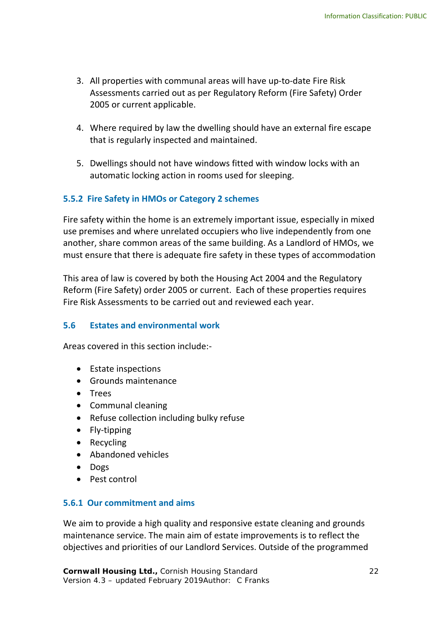- 3. All properties with communal areas will have up-to-date Fire Risk Assessments carried out as per Regulatory Reform (Fire Safety) Order 2005 or current applicable.
- 4. Where required by law the dwelling should have an external fire escape that is regularly inspected and maintained.
- 5. Dwellings should not have windows fitted with window locks with an automatic locking action in rooms used for sleeping.

# **5.5.2 Fire Safety in HMOs or Category 2 schemes**

Fire safety within the home is an extremely important issue, especially in mixed use premises and where unrelated occupiers who live independently from one another, share common areas of the same building. As a Landlord of HMOs, we must ensure that there is adequate fire safety in these types of accommodation

This area of law is covered by both the Housing Act 2004 and the Regulatory Reform (Fire Safety) order 2005 or current. Each of these properties requires Fire Risk Assessments to be carried out and reviewed each year.

#### <span id="page-15-0"></span>**5.6 Estates and environmental work**

Areas covered in this section include:-

- Estate inspections
- Grounds maintenance
- Trees
- Communal cleaning
- Refuse collection including bulky refuse
- Fly-tipping
- Recycling
- Abandoned vehicles
- Dogs
- Pest control

# **5.6.1 Our commitment and aims**

We aim to provide a high quality and responsive estate cleaning and grounds maintenance service. The main aim of estate improvements is to reflect the objectives and priorities of our Landlord Services. Outside of the programmed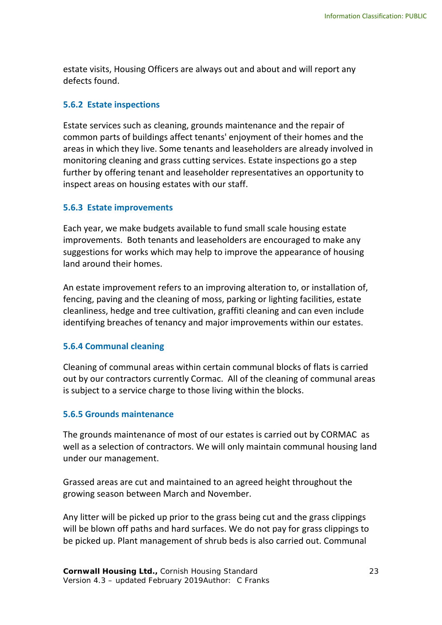estate visits, Housing Officers are always out and about and will report any defects found.

# **5.6.2 Estate inspections**

Estate services such as cleaning, grounds maintenance and the repair of common parts of buildings affect tenants' enjoyment of their homes and the areas in which they live. Some tenants and leaseholders are already involved in monitoring cleaning and grass cutting services. Estate inspections go a step further by offering tenant and leaseholder representatives an opportunity to inspect areas on housing estates with our staff.

# **5.6.3 Estate improvements**

Each year, we make budgets available to fund small scale housing estate improvements. Both tenants and leaseholders are encouraged to make any suggestions for works which may help to improve the appearance of housing land around their homes.

An estate improvement refers to an improving alteration to, or installation of, fencing, paving and the cleaning of moss, parking or lighting facilities, estate cleanliness, hedge and tree cultivation, graffiti cleaning and can even include identifying breaches of tenancy and major improvements within our estates.

# **5.6.4 Communal cleaning**

Cleaning of communal areas within certain communal blocks of flats is carried out by our contractors currently Cormac. All of the cleaning of communal areas is subject to a service charge to those living within the blocks.

# **5.6.5 Grounds maintenance**

The grounds maintenance of most of our estates is carried out by CORMAC as well as a selection of contractors. We will only maintain communal housing land under our management.

Grassed areas are cut and maintained to an agreed height throughout the growing season between March and November.

Any litter will be picked up prior to the grass being cut and the grass clippings will be blown off paths and hard surfaces. We do not pay for grass clippings to be picked up. Plant management of shrub beds is also carried out. Communal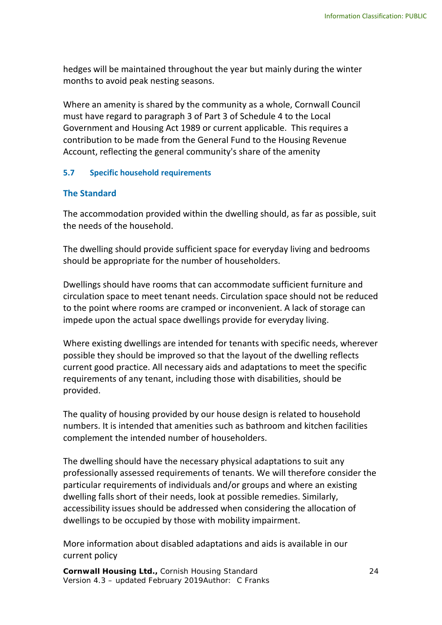hedges will be maintained throughout the year but mainly during the winter months to avoid peak nesting seasons.

Where an amenity is shared by the community as a whole, Cornwall Council must have regard to paragraph 3 of Part 3 of Schedule 4 to the Local Government and Housing Act 1989 or current applicable. This requires a contribution to be made from the General Fund to the Housing Revenue Account, reflecting the general community's share of the amenity

# <span id="page-17-0"></span>**5.7 Specific household requirements**

# **The Standard**

The accommodation provided within the dwelling should, as far as possible, suit the needs of the household.

The dwelling should provide sufficient space for everyday living and bedrooms should be appropriate for the number of householders.

Dwellings should have rooms that can accommodate sufficient furniture and circulation space to meet tenant needs. Circulation space should not be reduced to the point where rooms are cramped or inconvenient. A lack of storage can impede upon the actual space dwellings provide for everyday living.

Where existing dwellings are intended for tenants with specific needs, wherever possible they should be improved so that the layout of the dwelling reflects current good practice. All necessary aids and adaptations to meet the specific requirements of any tenant, including those with disabilities, should be provided.

The quality of housing provided by our house design is related to household numbers. It is intended that amenities such as bathroom and kitchen facilities complement the intended number of householders.

The dwelling should have the necessary physical adaptations to suit any professionally assessed requirements of tenants. We will therefore consider the particular requirements of individuals and/or groups and where an existing dwelling falls short of their needs, look at possible remedies. Similarly, accessibility issues should be addressed when considering the allocation of dwellings to be occupied by those with mobility impairment.

More information about disabled adaptations and aids is available in our current policy

**Cornwall Housing Ltd.,** Cornish Housing Standard 24 Version 4.3 – updated February 2019Author: C Franks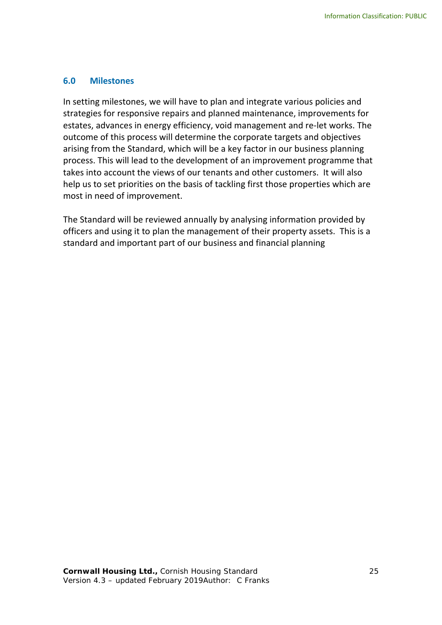#### **6.0 Milestones**

In setting milestones, we will have to plan and integrate various policies and strategies for responsive repairs and planned maintenance, improvements for estates, advances in energy efficiency, void management and re-let works. The outcome of this process will determine the corporate targets and objectives arising from the Standard, which will be a key factor in our business planning process. This will lead to the development of an improvement programme that takes into account the views of our tenants and other customers. It will also help us to set priorities on the basis of tackling first those properties which are most in need of improvement.

The Standard will be reviewed annually by analysing information provided by officers and using it to plan the management of their property assets. This is a standard and important part of our business and financial planning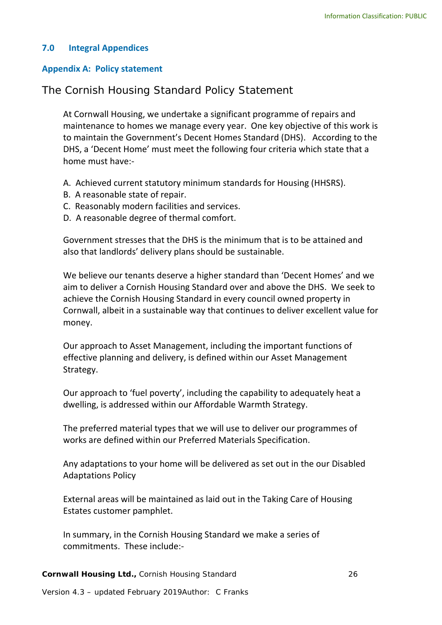# **7.0 Integral Appendices**

#### <span id="page-19-0"></span>**Appendix A: Policy statement**

# The Cornish Housing Standard Policy Statement

At Cornwall Housing, we undertake a significant programme of repairs and maintenance to homes we manage every year. One key objective of this work is to maintain the Government's Decent Homes Standard (DHS). According to the DHS, a 'Decent Home' must meet the following four criteria which state that a home must have:-

- A. Achieved current statutory minimum standards for Housing (HHSRS).
- B. A reasonable state of repair.
- C. Reasonably modern facilities and services.
- D. A reasonable degree of thermal comfort.

Government stresses that the DHS is the minimum that is to be attained and also that landlords' delivery plans should be sustainable.

We believe our tenants deserve a higher standard than 'Decent Homes' and we aim to deliver a Cornish Housing Standard over and above the DHS. We seek to achieve the Cornish Housing Standard in every council owned property in Cornwall, albeit in a sustainable way that continues to deliver excellent value for money.

Our approach to Asset Management, including the important functions of effective planning and delivery, is defined within our Asset Management Strategy.

Our approach to 'fuel poverty', including the capability to adequately heat a dwelling, is addressed within our Affordable Warmth Strategy.

The preferred material types that we will use to deliver our programmes of works are defined within our Preferred Materials Specification.

Any adaptations to your home will be delivered as set out in the our Disabled Adaptations Policy

External areas will be maintained as laid out in the Taking Care of Housing Estates customer pamphlet.

In summary, in the Cornish Housing Standard we make a series of commitments. These include:-

**Cornwall Housing Ltd.,** Cornish Housing Standard 26

Version 4.3 – updated February 2019Author: C Franks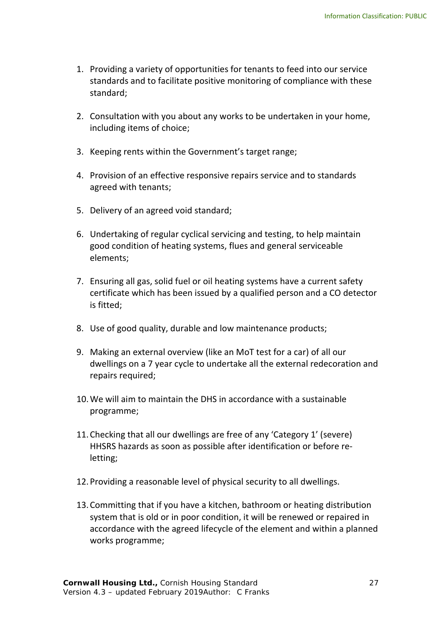- 1. Providing a variety of opportunities for tenants to feed into our service standards and to facilitate positive monitoring of compliance with these standard;
- 2. Consultation with you about any works to be undertaken in your home, including items of choice;
- 3. Keeping rents within the Government's target range;
- 4. Provision of an effective responsive repairs service and to standards agreed with tenants;
- 5. Delivery of an agreed void standard;
- 6. Undertaking of regular cyclical servicing and testing, to help maintain good condition of heating systems, flues and general serviceable elements;
- 7. Ensuring all gas, solid fuel or oil heating systems have a current safety certificate which has been issued by a qualified person and a CO detector is fitted;
- 8. Use of good quality, durable and low maintenance products;
- 9. Making an external overview (like an MoT test for a car) of all our dwellings on a 7 year cycle to undertake all the external redecoration and repairs required;
- 10.We will aim to maintain the DHS in accordance with a sustainable programme;
- 11.Checking that all our dwellings are free of any 'Category 1' (severe) HHSRS hazards as soon as possible after identification or before reletting;
- 12.Providing a reasonable level of physical security to all dwellings.
- 13.Committing that if you have a kitchen, bathroom or heating distribution system that is old or in poor condition, it will be renewed or repaired in accordance with the agreed lifecycle of the element and within a planned works programme;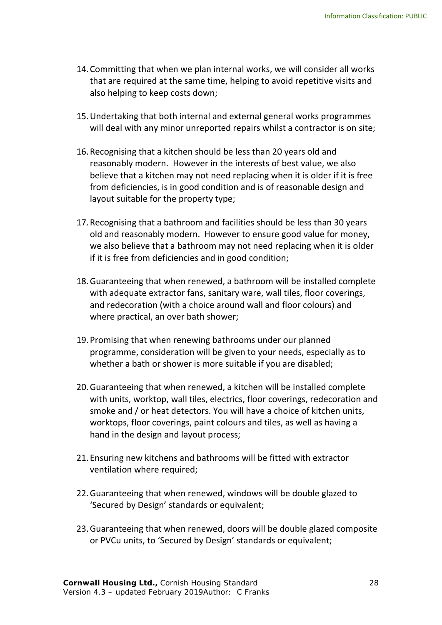- 14.Committing that when we plan internal works, we will consider all works that are required at the same time, helping to avoid repetitive visits and also helping to keep costs down;
- 15.Undertaking that both internal and external general works programmes will deal with any minor unreported repairs whilst a contractor is on site;
- 16.Recognising that a kitchen should be less than 20 years old and reasonably modern. However in the interests of best value, we also believe that a kitchen may not need replacing when it is older if it is free from deficiencies, is in good condition and is of reasonable design and layout suitable for the property type;
- 17.Recognising that a bathroom and facilities should be less than 30 years old and reasonably modern. However to ensure good value for money, we also believe that a bathroom may not need replacing when it is older if it is free from deficiencies and in good condition;
- 18.Guaranteeing that when renewed, a bathroom will be installed complete with adequate extractor fans, sanitary ware, wall tiles, floor coverings, and redecoration (with a choice around wall and floor colours) and where practical, an over bath shower;
- 19.Promising that when renewing bathrooms under our planned programme, consideration will be given to your needs, especially as to whether a bath or shower is more suitable if you are disabled;
- 20.Guaranteeing that when renewed, a kitchen will be installed complete with units, worktop, wall tiles, electrics, floor coverings, redecoration and smoke and / or heat detectors. You will have a choice of kitchen units, worktops, floor coverings, paint colours and tiles, as well as having a hand in the design and layout process;
- 21.Ensuring new kitchens and bathrooms will be fitted with extractor ventilation where required;
- 22.Guaranteeing that when renewed, windows will be double glazed to 'Secured by Design' standards or equivalent;
- 23.Guaranteeing that when renewed, doors will be double glazed composite or PVCu units, to 'Secured by Design' standards or equivalent;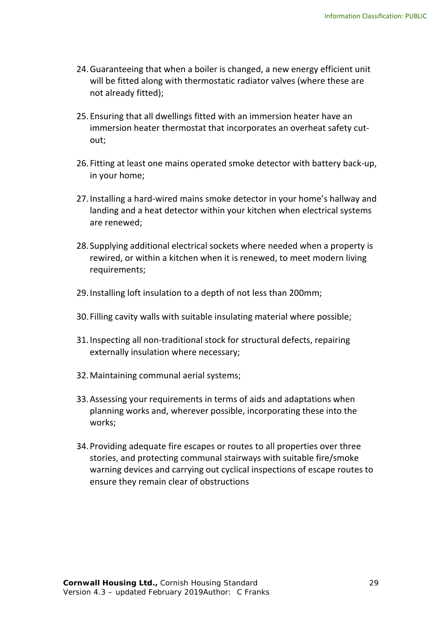- 24.Guaranteeing that when a boiler is changed, a new energy efficient unit will be fitted along with thermostatic radiator valves (where these are not already fitted);
- 25.Ensuring that all dwellings fitted with an immersion heater have an immersion heater thermostat that incorporates an overheat safety cutout;
- 26. Fitting at least one mains operated smoke detector with battery back-up, in your home;
- 27.Installing a hard-wired mains smoke detector in your home's hallway and landing and a heat detector within your kitchen when electrical systems are renewed;
- 28. Supplying additional electrical sockets where needed when a property is rewired, or within a kitchen when it is renewed, to meet modern living requirements;
- 29.Installing loft insulation to a depth of not less than 200mm;
- 30. Filling cavity walls with suitable insulating material where possible;
- 31.Inspecting all non-traditional stock for structural defects, repairing externally insulation where necessary;
- 32.Maintaining communal aerial systems;
- 33.Assessing your requirements in terms of aids and adaptations when planning works and, wherever possible, incorporating these into the works;
- 34.Providing adequate fire escapes or routes to all properties over three stories, and protecting communal stairways with suitable fire/smoke warning devices and carrying out cyclical inspections of escape routes to ensure they remain clear of obstructions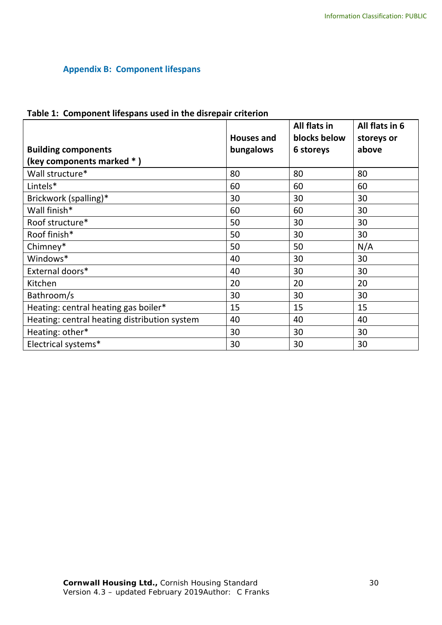# <span id="page-23-0"></span>**Appendix B: Component lifespans**

| Table 1: Component lifespans used in the disrepair criterion |  |
|--------------------------------------------------------------|--|
|                                                              |  |

|                                              | <b>Houses and</b> | All flats in<br>blocks below | All flats in 6<br>storeys or |
|----------------------------------------------|-------------------|------------------------------|------------------------------|
| <b>Building components</b>                   | bungalows         | 6 storeys                    | above                        |
| (key components marked *)                    |                   |                              |                              |
| Wall structure*                              | 80                | 80                           | 80                           |
| Lintels*                                     | 60                | 60                           | 60                           |
| Brickwork (spalling)*                        | 30                | 30                           | 30                           |
| Wall finish*                                 | 60                | 60                           | 30                           |
| Roof structure*                              | 50                | 30                           | 30                           |
| Roof finish*                                 | 50                | 30                           | 30                           |
| Chimney*                                     | 50                | 50                           | N/A                          |
| Windows*                                     | 40                | 30                           | 30                           |
| External doors*                              | 40                | 30                           | 30                           |
| Kitchen                                      | 20                | 20                           | 20                           |
| Bathroom/s                                   | 30                | 30                           | 30                           |
| Heating: central heating gas boiler*         | 15                | 15                           | 15                           |
| Heating: central heating distribution system | 40                | 40                           | 40                           |
| Heating: other*                              | 30                | 30                           | 30                           |
| Electrical systems*                          | 30                | 30                           | 30                           |